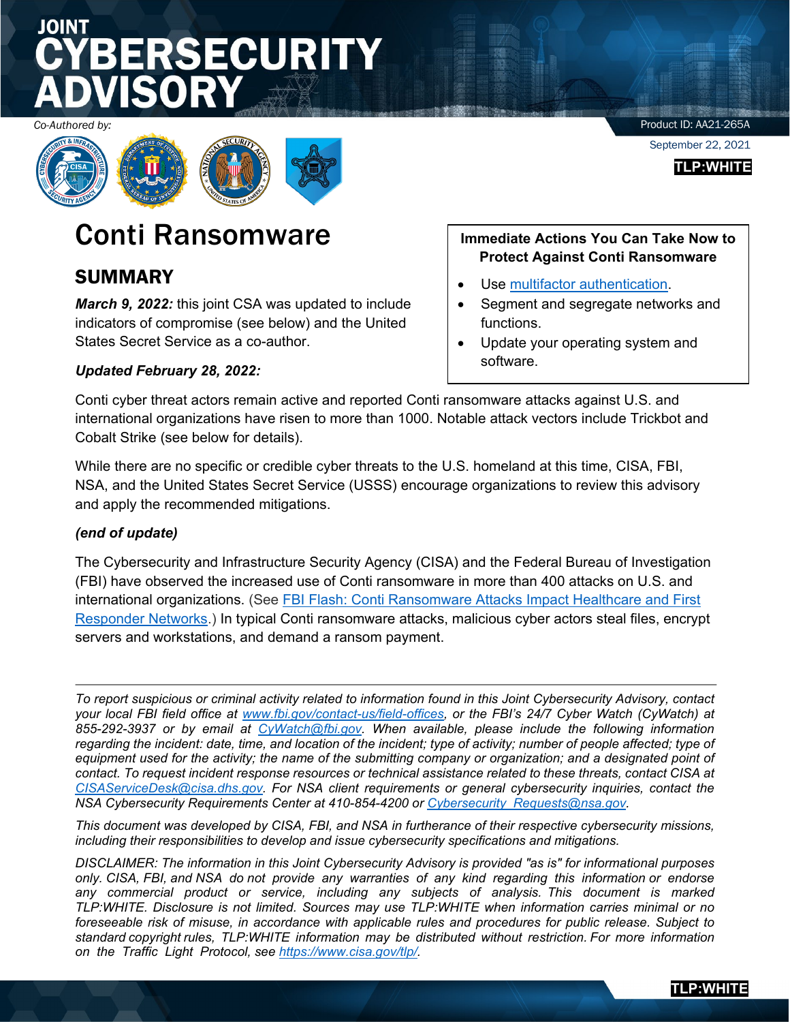# **SECURITY**

*Co-Authored by:*



### Conti Ransomware

### SUMMARY

*March 9, 2022:* this joint CSA was updated to include indicators of compromise (see below) and the United States Secret Service as a co-author.

### *Updated February 28, 2022:*

**Immediate Actions You Can Take Now to Protect Against Conti Ransomware**

- Use [multifactor authentication.](https://us-cert.cisa.gov/ncas/tips/ST05-012)
- Segment and segregate networks and functions.
- Update your operating system and software.

Conti cyber threat actors remain active and reported Conti ransomware attacks against U.S. and international organizations have risen to more than 1000. Notable attack vectors include Trickbot and Cobalt Strike (see below for details).

While there are no specific or credible cyber threats to the U.S. homeland at this time, CISA, FBI, NSA, and the United States Secret Service (USSS) encourage organizations to review this advisory and apply the recommended mitigations.

### *(end of update)*

The Cybersecurity and Infrastructure Security Agency (CISA) and the Federal Bureau of Investigation (FBI) have observed the increased use of Conti ransomware in more than 400 attacks on U.S. and international organizations. (See [FBI Flash: Conti Ransomware Attacks Impact Healthcare and First](https://www.ic3.gov/Media/News/2021/210521.pdf)  [Responder Networks.](https://www.ic3.gov/Media/News/2021/210521.pdf)) In typical Conti ransomware attacks, malicious cyber actors steal files, encrypt servers and workstations, and demand a ransom payment.

*To report suspicious or criminal activity related to information found in this Joint Cybersecurity Advisory, contact your local FBI field office at [www.fbi.gov/contact-us/field-](http://www.fbi.gov/contact-us/field)offices, or the FBI's 24/7 Cyber Watch (CyWatch) at 855-292-3937 or by email at [CyWatch@fbi.gov.](mailto:CyWatch@fbi.gov) When available, please include the following information regarding the incident: date, time, and location of the incident; type of activity; number of people affected; type of*  equipment used for the activity; the name of the submitting company or organization; and a designated point of *contact. To request incident response resources or technical assistance related to these threats, contact CISA at [CISAServiceDesk@cisa.dhs.gov.](mailto:CISAServiceDesk@cisa.dhs.gov) For NSA client requirements or general cybersecurity inquiries, contact the NSA Cybersecurity Requirements Center at 410-854-4200 or [Cybersecurity\\_Requests@nsa.gov.](mailto:Cybersecurity_Requests@nsa.gov)*

*This document was developed by CISA, FBI, and NSA in furtherance of their respective cybersecurity missions, including their responsibilities to develop and issue cybersecurity specifications and mitigations.*

*DISCLAIMER: The information in this Joint Cybersecurity Advisory is provided "as is" for informational purposes only. CISA, FBI, and NSA do not provide any warranties of any kind regarding this information or endorse any commercial product or service, including any subjects of analysis. This document is marked TLP:WHITE. Disclosure is not limited. Sources may use TLP:WHITE when information carries minimal or no foreseeable risk of misuse, in accordance with applicable rules and procedures for public release. Subject to standard copyright rules, TLP:WHITE information may be distributed without restriction. For more information on the Traffic Light Protocol, see [https://www.cisa.gov/tlp/.](https://www.cisa.gov/tlp/)*

Product ID: AA21-265A

September 22, 2021

**TLP:WHITE**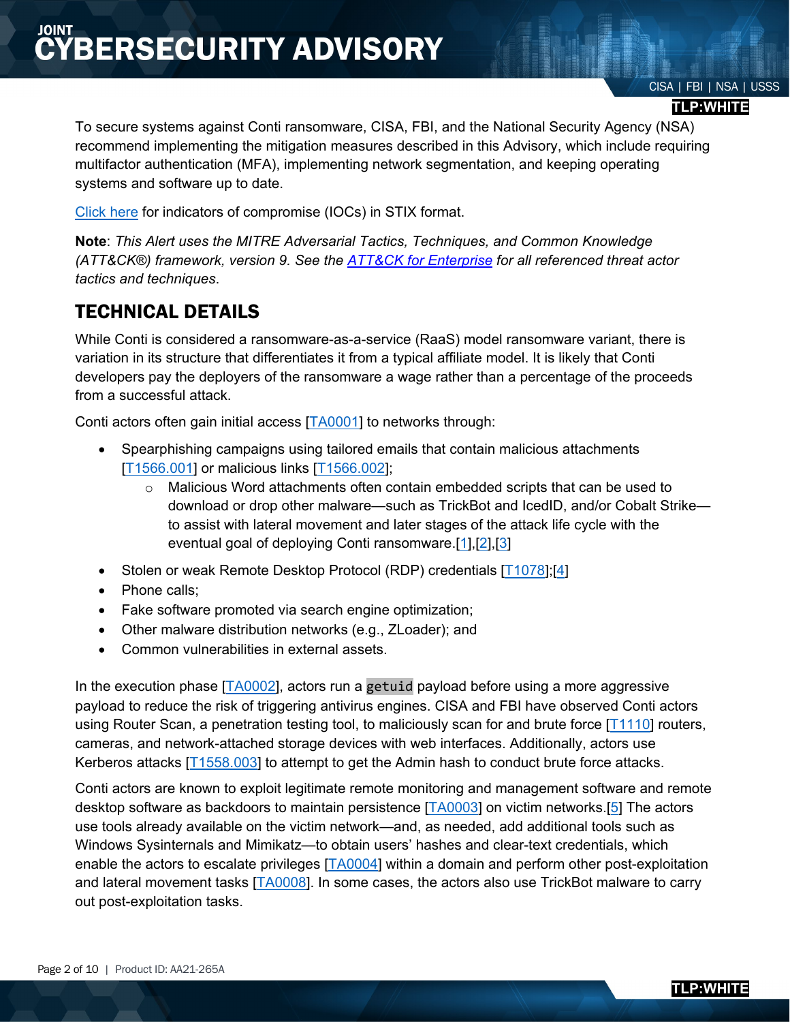#### **TLP:WHITE**

To secure systems against Conti ransomware, CISA, FBI, and the National Security Agency (NSA) recommend implementing the mitigation measures described in this Advisory, which include requiring multifactor authentication (MFA), implementing network segmentation, and keeping operating systems and software up to date.

[Click here](https://www.us-cert.gov/sites/default/files/publications/AA21-265A.stix.xml) for indicators of compromise (IOCs) in STIX format.

**Note**: *This Alert uses the MITRE Adversarial Tactics, Techniques, and Common Knowledge (ATT&CK®) framework, version 9. See the [ATT&CK for Enterprise](https://attack.mitre.org/versions/v9/techniques/enterprise/) for all referenced threat actor tactics and techniques*.

### TECHNICAL DETAILS

While Conti is considered a ransomware-as-a-service (RaaS) model ransomware variant, there is variation in its structure that differentiates it from a typical affiliate model. It is likely that Conti developers pay the deployers of the ransomware a wage rather than a percentage of the proceeds from a successful attack.

Conti actors often gain initial access [\[TA0001\]](https://attack.mitre.org/versions/v9/tactics/TA0001/) to networks through:

- Spearphishing campaigns using tailored emails that contain malicious attachments [\[T1566.001\]](https://attack.mitre.org/versions/v9/techniques/T1566/001/) or malicious links [\[T1566.002\]](https://attack.mitre.org/versions/v9/techniques/T1566/002/);
	- $\circ$  Malicious Word attachments often contain embedded scripts that can be used to download or drop other malware—such as TrickBot and IcedID, and/or Cobalt Strike to assist with lateral movement and later stages of the attack life cycle with the eventual goal of deploying Conti ransomware[.\[1\],](https://attack.mitre.org/software/S0575/)[\[2\],](https://attack.mitre.org/software/S0266/)[\[3\]](https://attack.mitre.org/software/S0483/)
- Stolen or weak Remote Desktop Protocol (RDP) credentials [1078];[\[4\]](https://www.cisa.gov/sites/default/files/Conti%20Ransomware%20Heathcare%20networks.pdf)
- Phone calls;
- Fake software promoted via search engine optimization;
- Other malware distribution networks (e.g., ZLoader); and
- Common vulnerabilities in external assets.

In the execution phase [\[TA0002\]](https://attack.mitre.org/versions/v9/tactics/TA0002/), actors run a getuid payload before using a more aggressive payload to reduce the risk of triggering antivirus engines. CISA and FBI have observed Conti actors using Router Scan, a penetration testing tool, to maliciously scan for and brute force [\[T1110\]](https://attack.mitre.org/versions/v9/techniques/T1110/) routers, cameras, and network-attached storage devices with web interfaces. Additionally, actors use Kerberos attacks [\[T1558.003\]](https://attack.mitre.org/versions/v9/techniques/T1558/003/) to attempt to get the Admin hash to conduct brute force attacks.

Conti actors are known to exploit legitimate remote monitoring and management software and remote desktop software as backdoors to maintain persistence [\[TA0003\]](https://attack.mitre.org/versions/v9/tactics/TA0003/) on victim networks.[\[5\]](https://ransomwaredaily.com/conti-ransomware-gang-playbook-mentions-msp-software-channele2e/) The actors use tools already available on the victim network—and, as needed, add additional tools such as Windows Sysinternals and Mimikatz—to obtain users' hashes and clear-text credentials, which enable the actors to escalate privileges [\[TA0004\]](https://attack.mitre.org/versions/v9/tactics/TA0004/) within a domain and perform other post-exploitation and lateral movement tasks [\[TA0008\]](https://attack.mitre.org/versions/v9/tactics/TA0008/). In some cases, the actors also use TrickBot malware to carry out post-exploitation tasks.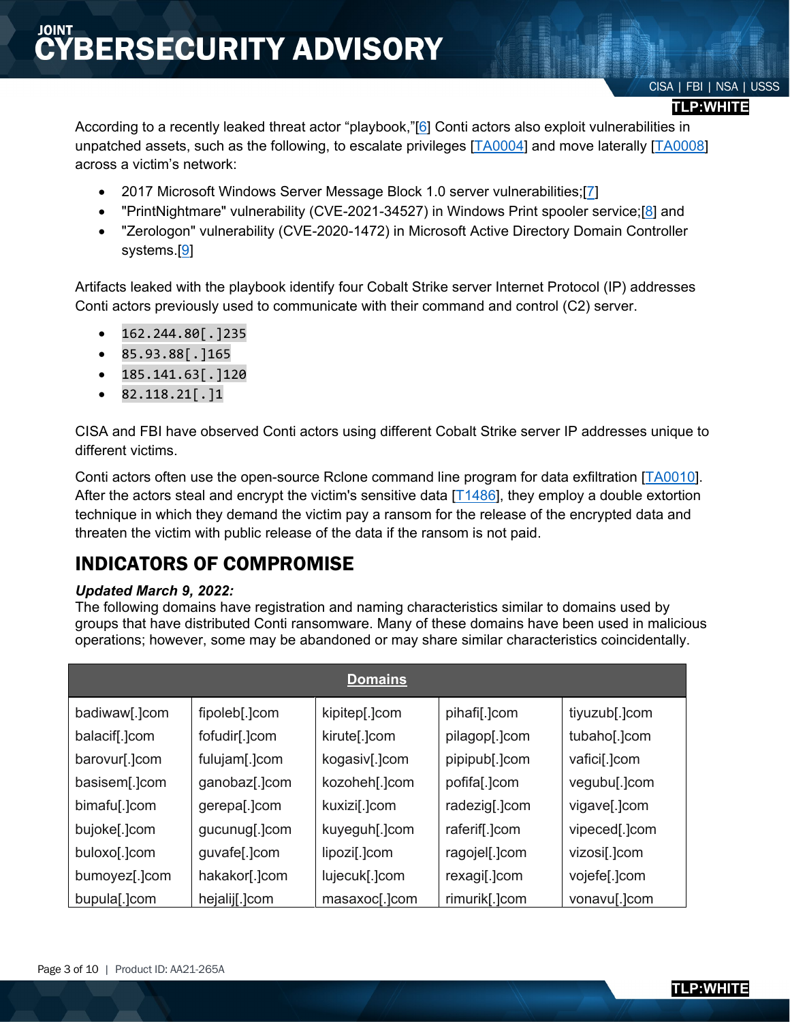### CISA | FBI | NSA | USSS

#### **TLP:WHITE**

According to a recently leaked threat actor "playbook,"[\[6\]](https://blog.talosintelligence.com/2021/09/Conti-leak-translation.html) Conti actors also exploit vulnerabilities in unpatched assets, such as the following, to escalate privileges [\[TA0004\]](https://attack.mitre.org/versions/v9/tactics/TA0004/) and move laterally [\[TA0008\]](https://attack.mitre.org/versions/v9/tactics/TA0008/) across a victim's network:

- 2017 Microsoft Windows Server Message Block 1.0 server vulnerabilities;[\[7\]](https://docs.microsoft.com/en-us/security-updates/securitybulletins/2017/ms17-010)
- "PrintNightmare" vulnerability (CVE-2021-34527) in Windows Print spooler service;[\[8\]](https://msrc.microsoft.com/update-guide/vulnerability/CVE-2021-34527) and
- "Zerologon" vulnerability (CVE-2020-1472) in Microsoft Active Directory Domain Controller systems.[\[9\]](https://msrc.microsoft.com/update-guide/en-US/vulnerability/CVE-2020-1472)

Artifacts leaked with the playbook identify four Cobalt Strike server Internet Protocol (IP) addresses Conti actors previously used to communicate with their command and control (C2) server.

- $\bullet$  162.244.80[.]235
- 85.93.88[.]165
- $\bullet$  185.141.63[.]120
- $\bullet$  82.118.21[.]1

CISA and FBI have observed Conti actors using different Cobalt Strike server IP addresses unique to different victims.

Conti actors often use the open-source Rclone command line program for data exfiltration [\[TA0010\]](https://attack.mitre.org/versions/v9/tactics/TA0010/). After the actors steal and encrypt the victim's sensitive data  $[T1486]$ , they employ a double extortion technique in which they demand the victim pay a ransom for the release of the encrypted data and threaten the victim with public release of the data if the ransom is not paid.

### INDICATORS OF COMPROMISE

### *Updated March 9, 2022:*

The following domains have registration and naming characteristics similar to domains used by groups that have distributed Conti ransomware. Many of these domains have been used in malicious operations; however, some may be abandoned or may share similar characteristics coincidentally.

| <b>Domains</b> |               |               |               |               |
|----------------|---------------|---------------|---------------|---------------|
| badiwaw[.]com  | fipoleb[.]com | kipitep[.]com | pihafi[.]com  | tiyuzub[.]com |
| balacif[.]com  | fofudir[.]com | kirute[.]com  | pilagop[.]com | tubaho[.]com  |
| barovur[.]com  | fulujam[.]com | kogasiv[.]com | pipipub[.]com | vafici[.]com  |
| basisem[.]com  | ganobaz[.]com | kozoheh[.]com | pofifa[.]com  | vegubu[.]com  |
| bimafu[.]com   | gerepa[.]com  | kuxizi[.]com  | radezig[.]com | vigave[.]com  |
| bujoke[.]com   | gucunug[.]com | kuyeguh[.]com | raferif[.]com | vipeced[.]com |
| buloxo[.]com   | guvafe[.]com  | lipozi[.]com  | ragojel[.]com | vizosi[.]com  |
| bumoyez[.]com  | hakakor[.]com | lujecuk[.]com | rexagi[.]com  | vojefe[.]com  |
| bupula[.]com   | hejalij[.]com | masaxoc[.]com | rimurik[.]com | vonavu[.]com  |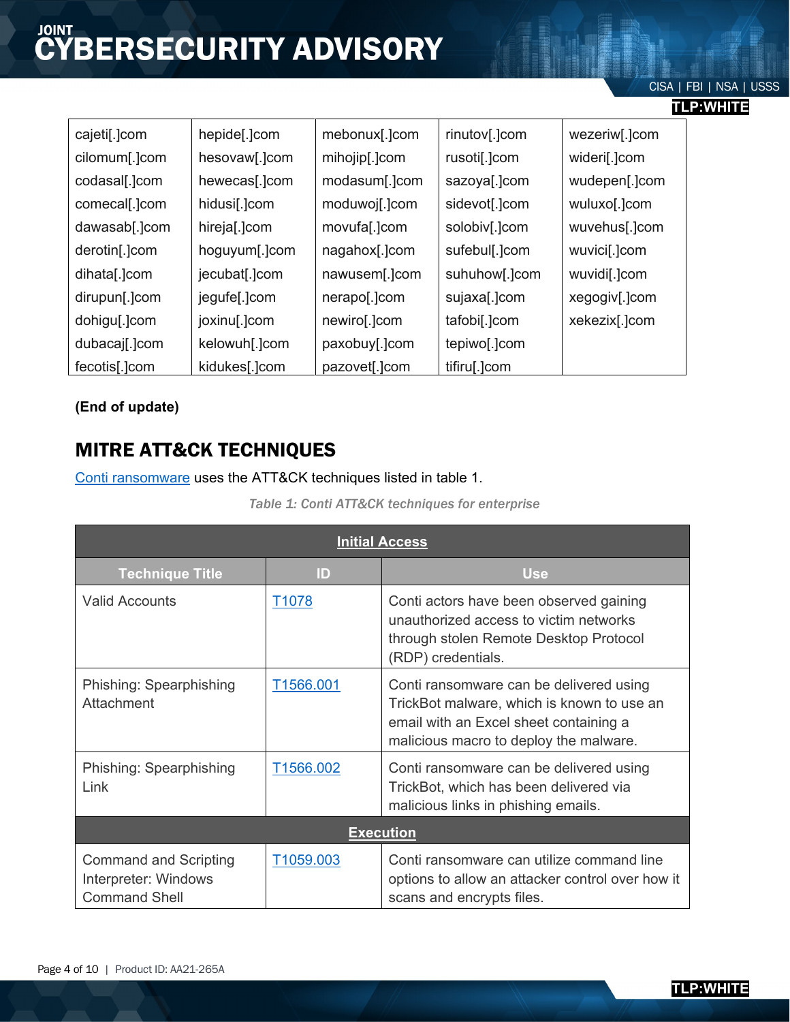### CISA | FBI | NSA | USSS

| Œ | v<br>ш<br>. . | г |  |
|---|---------------|---|--|
|   |               |   |  |

| cajeti[.]com  | hepide[.]com  | mebonux[.]com | rinutov[.]com | wezeriw[.]com |
|---------------|---------------|---------------|---------------|---------------|
| cilomum[.]com | hesovaw[.]com | mihojip[.]com | rusoti[.]com  | wideri[.]com  |
| codasal[.]com | hewecas[.]com | modasum[.]com | sazoya[.]com  | wudepen[.]com |
| comecal[.]com | hidusi[.]com  | moduwoj[.]com | sidevot[.]com | wuluxo[.]com  |
| dawasab[.]com | hireja[.]com  | movufa[.]com  | solobiv[.]com | wuvehus[.]com |
| derotin[.]com | hoguyum[.]com | nagahox[.]com | sufebul[.]com | wuvici[.]com  |
| dihata[.]com  | jecubat[.]com | nawusem[.]com | suhuhow[.]com | wuvidi[.]com  |
| dirupun[.]com | jegufe[.]com  | nerapo[.]com  | sujaxa[.]com  | xegogiv[.]com |
| dohigu[.]com  | joxinu[.]com  | newiro[.]com  | tafobi[.]com  | xekezix[.]com |
| dubacaj[.]com | kelowuh[.]com | paxobuy[.]com | tepiwo[.]com  |               |
| fecotis[.]com | kidukes[.]com | pazovet[.]com | tifiru[.]com  |               |

**(End of update)**

### MITRE ATT&CK TECHNIQUES

[Conti ransomware](https://attack.mitre.org/software/S0575/) uses the ATT&CK techniques listed in table 1.

| <b>Initial Access</b>                                                        |                   |                                                                                                                                                                           |  |
|------------------------------------------------------------------------------|-------------------|---------------------------------------------------------------------------------------------------------------------------------------------------------------------------|--|
| <b>Technique Title</b>                                                       | ID                | <b>Use</b>                                                                                                                                                                |  |
| <b>Valid Accounts</b>                                                        | T <sub>1078</sub> | Conti actors have been observed gaining<br>unauthorized access to victim networks<br>through stolen Remote Desktop Protocol<br>(RDP) credentials.                         |  |
| Phishing: Spearphishing<br>Attachment                                        | T1566.001         | Conti ransomware can be delivered using<br>TrickBot malware, which is known to use an<br>email with an Excel sheet containing a<br>malicious macro to deploy the malware. |  |
| Phishing: Spearphishing<br>Link                                              | T1566.002         | Conti ransomware can be delivered using<br>TrickBot, which has been delivered via<br>malicious links in phishing emails.                                                  |  |
| <b>Execution</b>                                                             |                   |                                                                                                                                                                           |  |
| <b>Command and Scripting</b><br>Interpreter: Windows<br><b>Command Shell</b> | T1059.003         | Conti ransomware can utilize command line<br>options to allow an attacker control over how it<br>scans and encrypts files.                                                |  |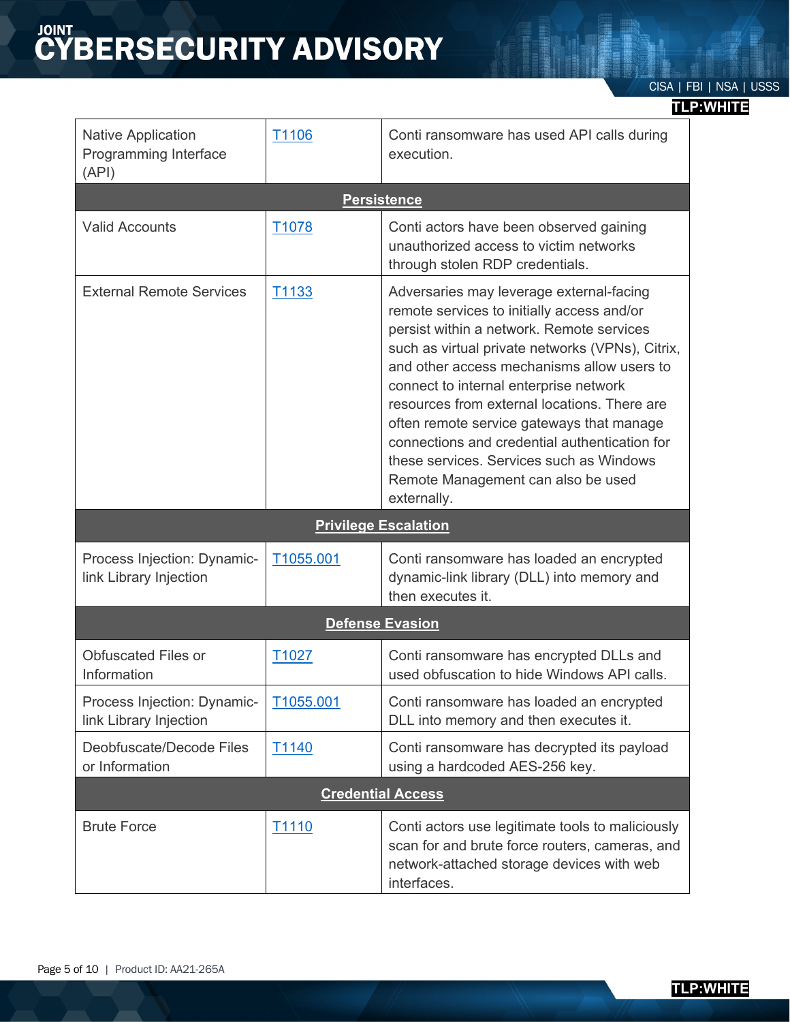# **CYBERSECURITY ADVISORY**

### **TLP:WHITE**

| <b>Native Application</b><br>Programming Interface<br>(API) | T1106             | Conti ransomware has used API calls during<br>execution.                                                                                                                                                                                                                                                                                                                                                                                                                                                                                                      |  |
|-------------------------------------------------------------|-------------------|---------------------------------------------------------------------------------------------------------------------------------------------------------------------------------------------------------------------------------------------------------------------------------------------------------------------------------------------------------------------------------------------------------------------------------------------------------------------------------------------------------------------------------------------------------------|--|
|                                                             |                   | <b>Persistence</b>                                                                                                                                                                                                                                                                                                                                                                                                                                                                                                                                            |  |
| <b>Valid Accounts</b>                                       | T <sub>1078</sub> | Conti actors have been observed gaining<br>unauthorized access to victim networks<br>through stolen RDP credentials.                                                                                                                                                                                                                                                                                                                                                                                                                                          |  |
| <b>External Remote Services</b>                             | T1133             | Adversaries may leverage external-facing<br>remote services to initially access and/or<br>persist within a network. Remote services<br>such as virtual private networks (VPNs), Citrix,<br>and other access mechanisms allow users to<br>connect to internal enterprise network<br>resources from external locations. There are<br>often remote service gateways that manage<br>connections and credential authentication for<br>these services. Services such as Windows<br>Remote Management can also be used<br>externally.<br><b>Privilege Escalation</b> |  |
|                                                             |                   |                                                                                                                                                                                                                                                                                                                                                                                                                                                                                                                                                               |  |
| Process Injection: Dynamic-<br>link Library Injection       | T1055.001         | Conti ransomware has loaded an encrypted<br>dynamic-link library (DLL) into memory and<br>then executes it.                                                                                                                                                                                                                                                                                                                                                                                                                                                   |  |
| <b>Defense Evasion</b>                                      |                   |                                                                                                                                                                                                                                                                                                                                                                                                                                                                                                                                                               |  |
| <b>Obfuscated Files or</b><br>Information                   | T <sub>1027</sub> | Conti ransomware has encrypted DLLs and<br>used obfuscation to hide Windows API calls.                                                                                                                                                                                                                                                                                                                                                                                                                                                                        |  |
| Process Injection: Dynamic-<br>link Library Injection       | T1055.001         | Conti ransomware has loaded an encrypted<br>DLL into memory and then executes it.                                                                                                                                                                                                                                                                                                                                                                                                                                                                             |  |
| Deobfuscate/Decode Files<br>or Information                  | T1140             | Conti ransomware has decrypted its payload<br>using a hardcoded AES-256 key.                                                                                                                                                                                                                                                                                                                                                                                                                                                                                  |  |
| <b>Credential Access</b>                                    |                   |                                                                                                                                                                                                                                                                                                                                                                                                                                                                                                                                                               |  |
| <b>Brute Force</b>                                          | T <sub>1110</sub> | Conti actors use legitimate tools to maliciously<br>scan for and brute force routers, cameras, and<br>network-attached storage devices with web<br>interfaces.                                                                                                                                                                                                                                                                                                                                                                                                |  |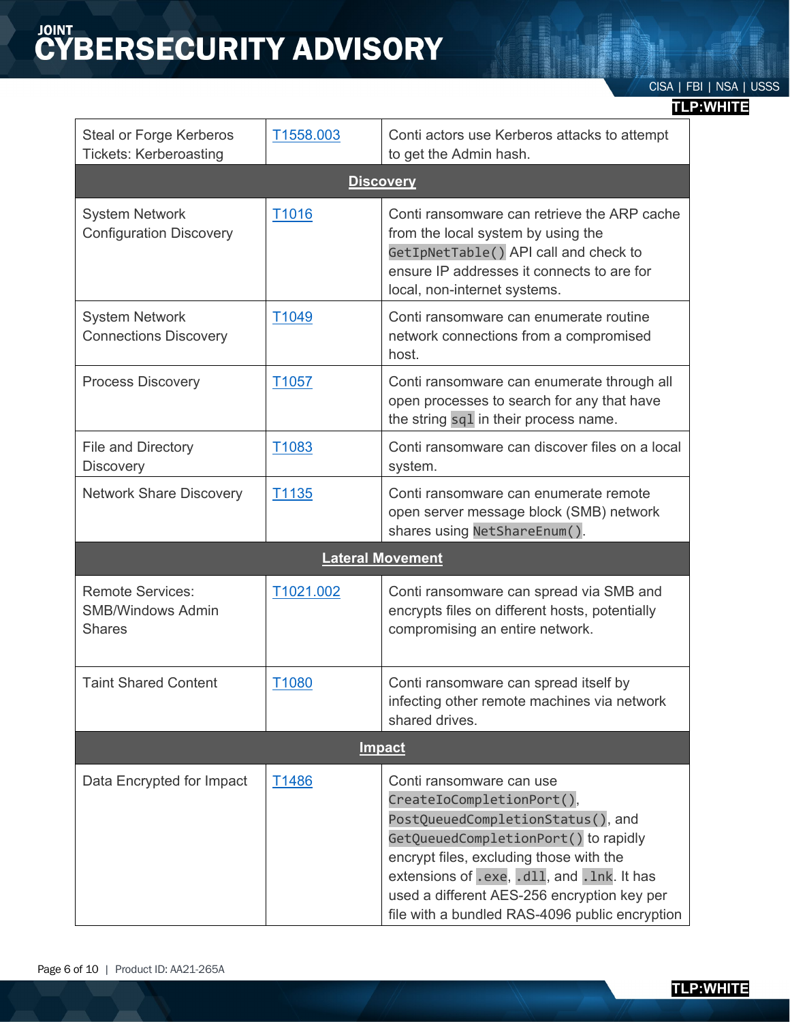# **CYBERSECURITY ADVISORY**

### **TLP:WHITE**

| <b>Steal or Forge Kerberos</b><br><b>Tickets: Kerberoasting</b>      | T1558.003         | Conti actors use Kerberos attacks to attempt<br>to get the Admin hash.                                                                                                                                                                                                                                                        |  |
|----------------------------------------------------------------------|-------------------|-------------------------------------------------------------------------------------------------------------------------------------------------------------------------------------------------------------------------------------------------------------------------------------------------------------------------------|--|
|                                                                      |                   | <b>Discovery</b>                                                                                                                                                                                                                                                                                                              |  |
| <b>System Network</b><br><b>Configuration Discovery</b>              | T1016             | Conti ransomware can retrieve the ARP cache<br>from the local system by using the<br>GetIpNetTable() API call and check to<br>ensure IP addresses it connects to are for<br>local, non-internet systems.                                                                                                                      |  |
| <b>System Network</b><br><b>Connections Discovery</b>                | T <sub>1049</sub> | Conti ransomware can enumerate routine<br>network connections from a compromised<br>host.                                                                                                                                                                                                                                     |  |
| <b>Process Discovery</b>                                             | T <sub>1057</sub> | Conti ransomware can enumerate through all<br>open processes to search for any that have<br>the string sq1 in their process name.                                                                                                                                                                                             |  |
| File and Directory<br><b>Discovery</b>                               | T1083             | Conti ransomware can discover files on a local<br>system.                                                                                                                                                                                                                                                                     |  |
| <b>Network Share Discovery</b>                                       | T1135             | Conti ransomware can enumerate remote<br>open server message block (SMB) network<br>shares using NetShareEnum().                                                                                                                                                                                                              |  |
|                                                                      |                   | <b>Lateral Movement</b>                                                                                                                                                                                                                                                                                                       |  |
| <b>Remote Services:</b><br><b>SMB/Windows Admin</b><br><b>Shares</b> | T1021.002         | Conti ransomware can spread via SMB and<br>encrypts files on different hosts, potentially<br>compromising an entire network.                                                                                                                                                                                                  |  |
| <b>Taint Shared Content</b>                                          | T1080             | Conti ransomware can spread itself by<br>infecting other remote machines via network<br>shared drives.                                                                                                                                                                                                                        |  |
| <b>Impact</b>                                                        |                   |                                                                                                                                                                                                                                                                                                                               |  |
| Data Encrypted for Impact                                            | T <sub>1486</sub> | Conti ransomware can use<br>CreateIoCompletionPort(),<br>PostQueuedCompletionStatus(), and<br>GetQueuedCompletionPort() to rapidly<br>encrypt files, excluding those with the<br>extensions of .exe, .dll, and . lnk. It has<br>used a different AES-256 encryption key per<br>file with a bundled RAS-4096 public encryption |  |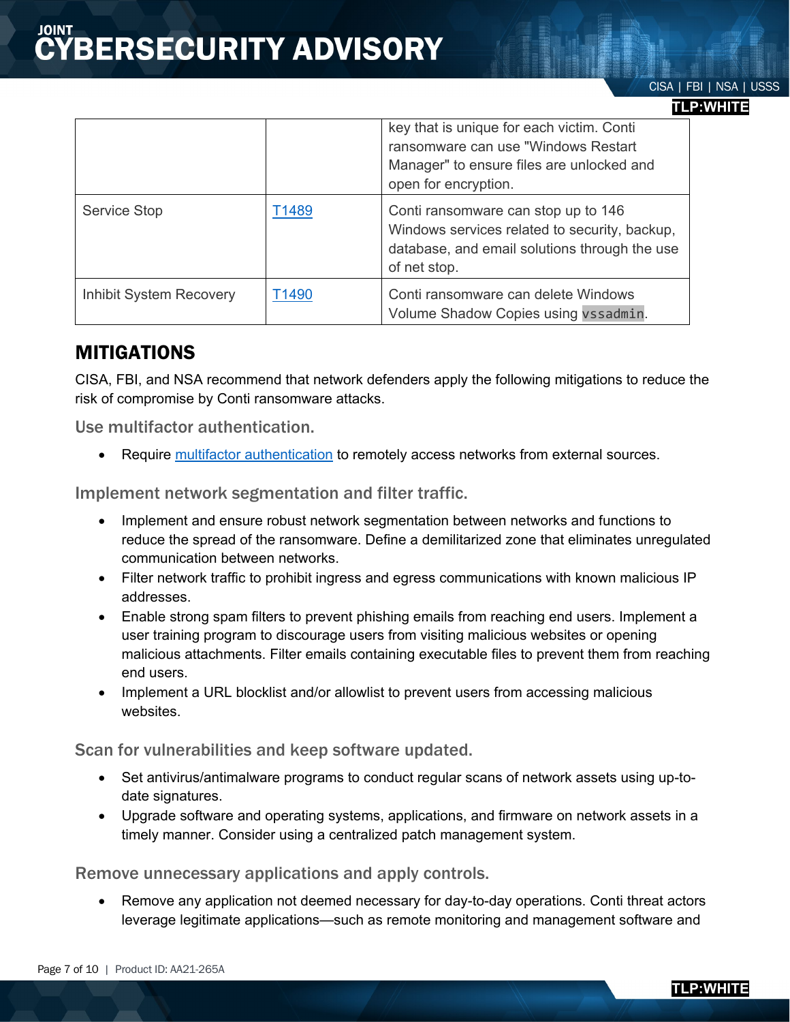### **TLP:WHITE**

|                         |       | key that is unique for each victim. Conti<br>ransomware can use "Windows Restart<br>Manager" to ensure files are unlocked and<br>open for encryption. |
|-------------------------|-------|-------------------------------------------------------------------------------------------------------------------------------------------------------|
| <b>Service Stop</b>     | T1489 | Conti ransomware can stop up to 146<br>Windows services related to security, backup,<br>database, and email solutions through the use<br>of net stop. |
| Inhibit System Recovery | T1490 | Conti ransomware can delete Windows<br>Volume Shadow Copies using vssadmin.                                                                           |

### MITIGATIONS

CISA, FBI, and NSA recommend that network defenders apply the following mitigations to reduce the risk of compromise by Conti ransomware attacks.

Use multifactor authentication.

• Require [multifactor authentication](https://media.defense.gov/2020/Sep/22/2002502665/-1/-1/0/Multifactor_Authentication_Solutions_UOO17091520_V1.1%20-%20Copy.PDF) to remotely access networks from external sources.

Implement network segmentation and filter traffic.

- Implement and ensure robust network segmentation between networks and functions to reduce the spread of the ransomware. Define a demilitarized zone that eliminates unregulated communication between networks.
- Filter network traffic to prohibit ingress and egress communications with known malicious IP addresses.
- Enable strong spam filters to prevent phishing emails from reaching end users. Implement a user training program to discourage users from visiting malicious websites or opening malicious attachments. Filter emails containing executable files to prevent them from reaching end users.
- Implement a URL blocklist and/or allowlist to prevent users from accessing malicious websites.

Scan for vulnerabilities and keep software updated.

- Set antivirus/antimalware programs to conduct regular scans of network assets using up-todate signatures.
- Upgrade software and operating systems, applications, and firmware on network assets in a timely manner. Consider using a centralized patch management system.

Remove unnecessary applications and apply controls.

• Remove any application not deemed necessary for day-to-day operations. Conti threat actors leverage legitimate applications—such as remote monitoring and management software and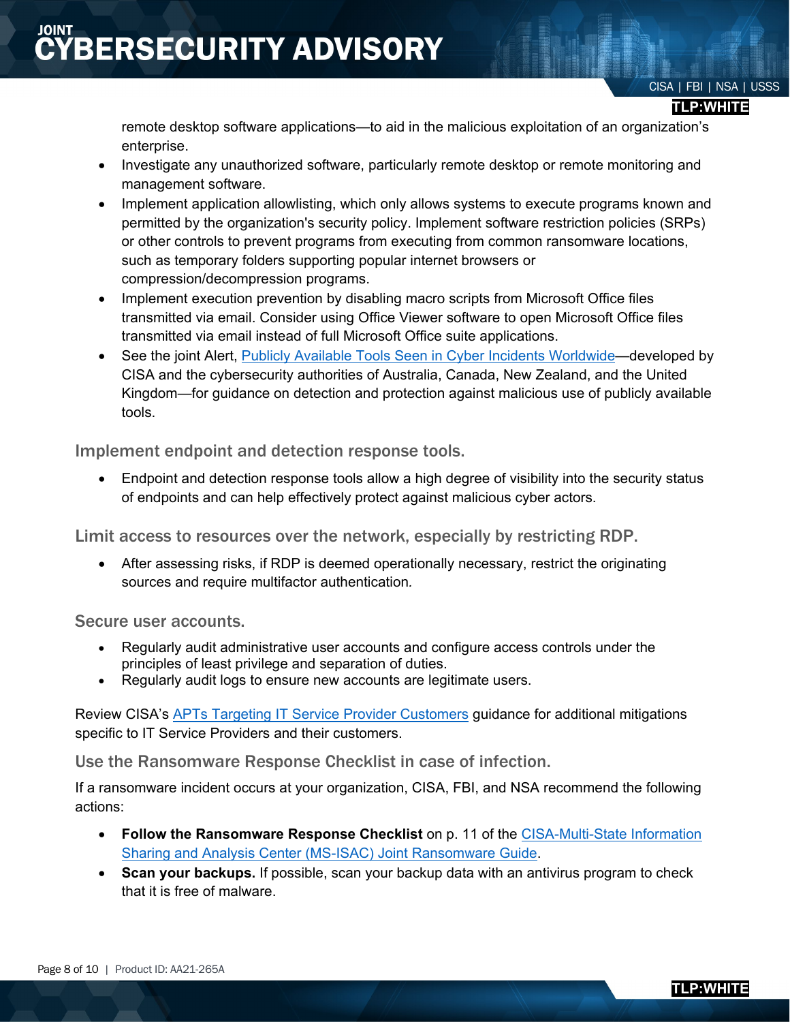### **BERSECURITY ADVISORY**

### CISA | FBI | NSA | USSS

#### **TLP:WHITE**

remote desktop software applications—to aid in the malicious exploitation of an organization's enterprise.

- Investigate any unauthorized software, particularly remote desktop or remote monitoring and management software.
- Implement application allowlisting, which only allows systems to execute programs known and permitted by the organization's security policy. Implement software restriction policies (SRPs) or other controls to prevent programs from executing from common ransomware locations, such as temporary folders supporting popular internet browsers or compression/decompression programs.
- Implement execution prevention by disabling macro scripts from Microsoft Office files transmitted via email. Consider using Office Viewer software to open Microsoft Office files transmitted via email instead of full Microsoft Office suite applications.
- See the joint Alert, [Publicly Available Tools Seen in Cyber Incidents Worldwide—](https://us-cert.cisa.gov/ncas/alerts/AA18-284A)developed by CISA and the cybersecurity authorities of Australia, Canada, New Zealand, and the United Kingdom—for guidance on detection and protection against malicious use of publicly available tools.

Implement endpoint and detection response tools.

• Endpoint and detection response tools allow a high degree of visibility into the security status of endpoints and can help effectively protect against malicious cyber actors.

Limit access to resources over the network, especially by restricting RDP.

• After assessing risks, if RDP is deemed operationally necessary, restrict the originating sources and require multifactor authentication*.*

Secure user accounts.

- Regularly audit administrative user accounts and configure access controls under the principles of least privilege and separation of duties.
- Regularly audit logs to ensure new accounts are legitimate users.

Review CISA's [APTs Targeting IT Service Provider Customers](https://us-cert.cisa.gov/APTs-Targeting-IT-Service-Provider-Customers) guidance for additional mitigations specific to IT Service Providers and their customers.

Use the Ransomware Response Checklist in case of infection.

If a ransomware incident occurs at your organization, CISA, FBI, and NSA recommend the following actions:

- **Follow the Ransomware Response Checklist** on p. 11 of the [CISA-Multi-State Information](https://www.cisa.gov/sites/default/files/publications/CISA_MS-ISAC_Ransomware%20Guide_S508C_.pdf)  [Sharing and Analysis Center \(MS-ISAC\) Joint Ransomware Guide.](https://www.cisa.gov/sites/default/files/publications/CISA_MS-ISAC_Ransomware%20Guide_S508C_.pdf)
- **Scan your backups.** If possible, scan your backup data with an antivirus program to check that it is free of malware.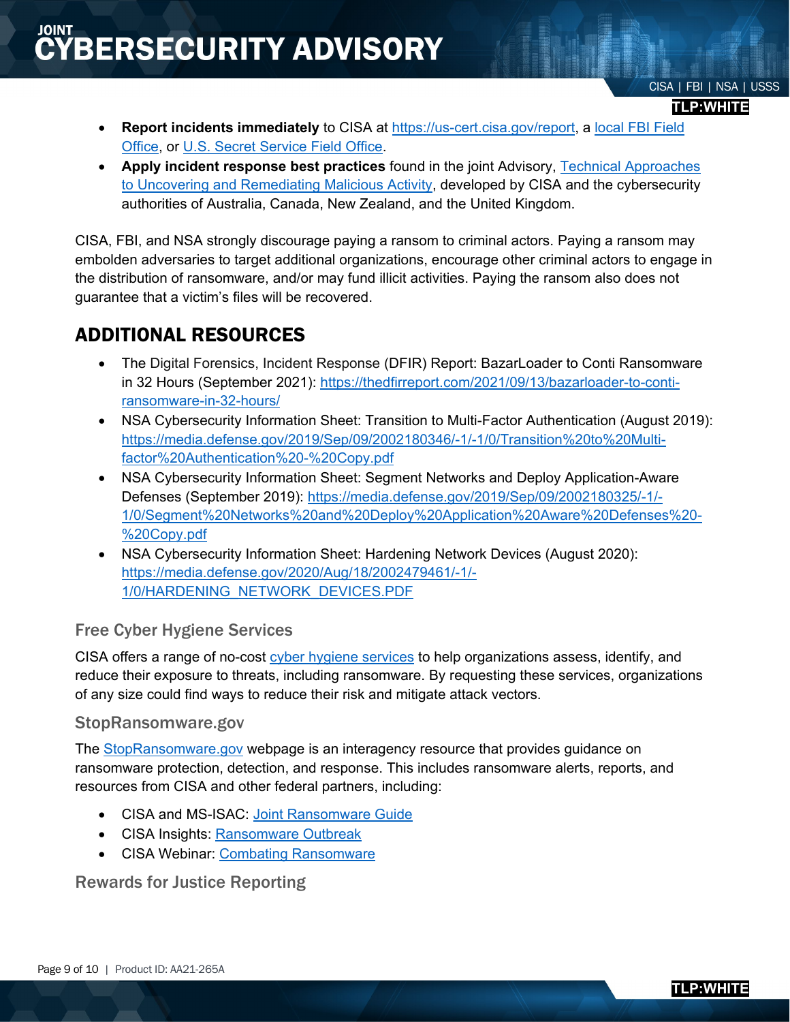### **BERSECURITY ADVISORY**

- **Report incidents immediately** to CISA at [https://us-cert.cisa.gov/report,](https://us-cert.cisa.gov/report) a [local FBI](https://www.fbi.gov/contact-us/field-offices) Field [Office,](https://www.fbi.gov/contact-us/field-offices) or [U.S. Secret Service Field Office.](http://www.secretservice.gov/contact/field-offices/)
- **Apply incident response best practices** found in the joint Advisory, [Technical Approaches](https://us-cert.cisa.gov/ncas/alerts/aa20-245a)  [to Uncovering and Remediating Malicious Activity,](https://us-cert.cisa.gov/ncas/alerts/aa20-245a) developed by CISA and the cybersecurity authorities of Australia, Canada, New Zealand, and the United Kingdom.

CISA, FBI, and NSA strongly discourage paying a ransom to criminal actors. Paying a ransom may embolden adversaries to target additional organizations, encourage other criminal actors to engage in the distribution of ransomware, and/or may fund illicit activities. Paying the ransom also does not guarantee that a victim's files will be recovered.

### ADDITIONAL RESOURCES

- The Digital Forensics, Incident Response (DFIR) Report: BazarLoader to Conti Ransomware in 32 Hours (September 2021): [https://thedfirreport.com/2021/09/13/bazarloader-to-conti](https://thedfirreport.com/2021/09/13/bazarloader-to-conti-ransomware-in-32-hours/)[ransomware-in-32-hours/](https://thedfirreport.com/2021/09/13/bazarloader-to-conti-ransomware-in-32-hours/)
- NSA Cybersecurity Information Sheet: Transition to Multi-Factor Authentication (August 2019): [https://media.defense.gov/2019/Sep/09/2002180346/-1/-1/0/Transition%20to%20Multi](https://media.defense.gov/2019/Sep/09/2002180346/-1/-1/0/Transition%20to%20Multi-factor%20Authentication%20-%20Copy.pdf)[factor%20Authentication%20-%20Copy.pdf](https://media.defense.gov/2019/Sep/09/2002180346/-1/-1/0/Transition%20to%20Multi-factor%20Authentication%20-%20Copy.pdf)
- NSA Cybersecurity Information Sheet: Segment Networks and Deploy Application-Aware Defenses (September 2019): [https://media.defense.gov/2019/Sep/09/2002180325/-1/-](https://media.defense.gov/2019/Sep/09/2002180325/-1/-1/0/Segment%20Networks%20and%20Deploy%20Application%20Aware%20Defenses%20-%20Copy.pdf) [1/0/Segment%20Networks%20and%20Deploy%20Application%20Aware%20Defenses%20-](https://media.defense.gov/2019/Sep/09/2002180325/-1/-1/0/Segment%20Networks%20and%20Deploy%20Application%20Aware%20Defenses%20-%20Copy.pdf) [%20Copy.pdf](https://media.defense.gov/2019/Sep/09/2002180325/-1/-1/0/Segment%20Networks%20and%20Deploy%20Application%20Aware%20Defenses%20-%20Copy.pdf)
- NSA Cybersecurity Information Sheet: Hardening Network Devices (August 2020): [https://media.defense.gov/2020/Aug/18/2002479461/-1/-](https://media.defense.gov/2020/Aug/18/2002479461/-1/-1/0/HARDENING_NETWORK_DEVICES.PDF) [1/0/HARDENING\\_NETWORK\\_DEVICES.PDF](https://media.defense.gov/2020/Aug/18/2002479461/-1/-1/0/HARDENING_NETWORK_DEVICES.PDF)

### Free Cyber Hygiene Services

CISA offers a range of no-cost [cyber hygiene services](https://www.cisa.gov/cyber-hygiene-services) to help organizations assess, identify, and reduce their exposure to threats, including ransomware. By requesting these services, organizations of any size could find ways to reduce their risk and mitigate attack vectors.

### StopRansomware.gov

The [StopRansomware.gov](https://www.cisa.gov/stopransomware) webpage is an interagency resource that provides guidance on ransomware protection, detection, and response. This includes ransomware alerts, reports, and resources from CISA and other federal partners, including:

- CISA and MS-ISAC: [Joint Ransomware Guide](https://www.cisa.gov/sites/default/files/publications/CISA_MS-ISAC_Ransomware%20Guide_S508C.pdf)
- CISA Insights: [Ransomware Outbreak](https://www.cisa.gov/blog/2019/08/21/cisa-insights-ransomware-outbreak-0)
- CISA Webinar: [Combating Ransomware](https://www.youtube.com/watch?v=D8kC07tu27A)

Rewards for Justice Reporting